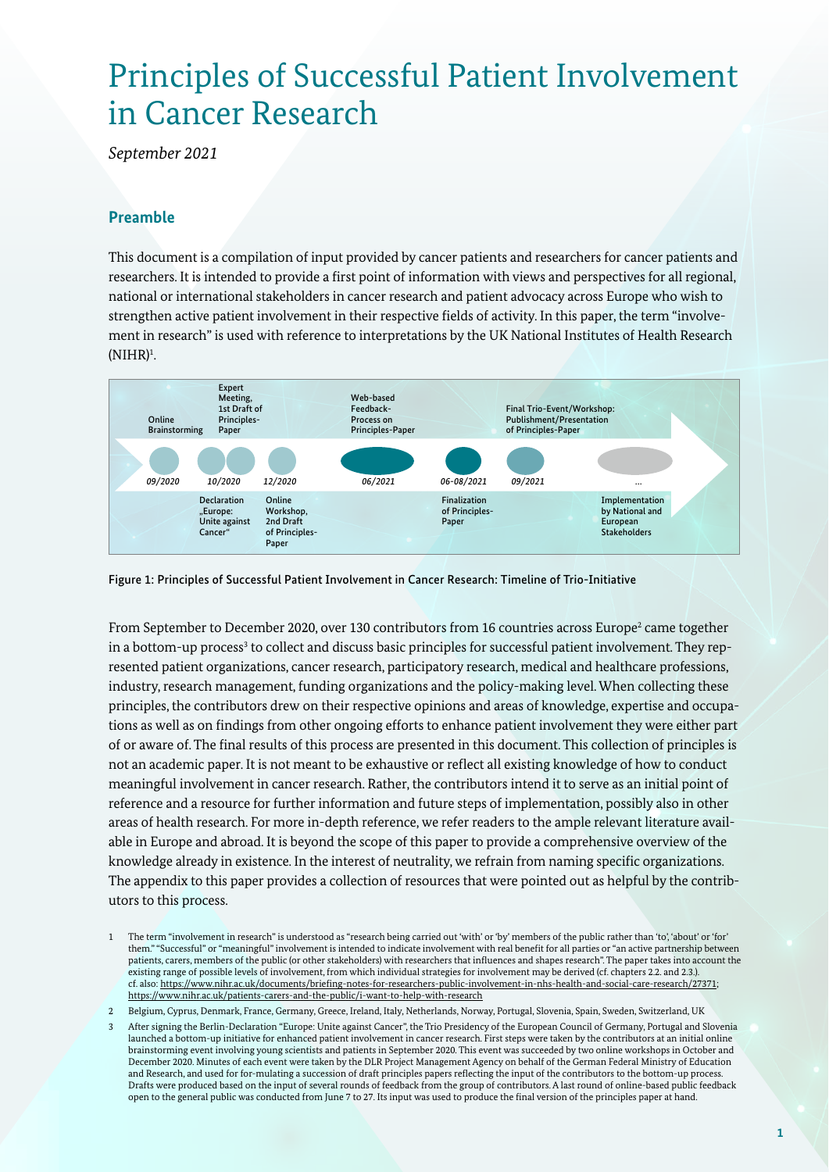# Principles of Successful Patient Involvement in Cancer Research

*September 2021*

#### **Preamble**

This document is a compilation of input provided by cancer patients and researchers for cancer patients and researchers. It is intended to provide a first point of information with views and perspectives for all regional, national or international stakeholders in cancer research and patient advocacy across Europe who wish to strengthen active patient involvement in their respective fields of activity. In this paper, the term "involvement in research" is used with reference to interpretations by the UK National Institutes of Health Research  $(NIHR)^1$ . .



Figure 1: Principles of Successful Patient Involvement in Cancer Research: Timeline of Trio-Initiative

From September to December 2020, over 130 contributors from 16 countries across Europe<sup>2</sup> came together in a bottom-up process<sup>3</sup> to collect and discuss basic principles for successful patient involvement. They represented patient organizations, cancer research, participatory research, medical and healthcare professions, industry, research management, funding organizations and the policy-making level. When collecting these principles, the contributors drew on their respective opinions and areas of knowledge, expertise and occupations as well as on findings from other ongoing efforts to enhance patient involvement they were either part of or aware of. The final results of this process are presented in this document. This collection of principles is not an academic paper. It is not meant to be exhaustive or reflect all existing knowledge of how to conduct meaningful involvement in cancer research. Rather, the contributors intend it to serve as an initial point of reference and a resource for further information and future steps of implementation, possibly also in other areas of health research. For more in-depth reference, we refer readers to the ample relevant literature available in Europe and abroad. It is beyond the scope of this paper to provide a comprehensive overview of the knowledge already in existence. In the interest of neutrality, we refrain from naming specific organizations. The appendix to this paper provides a collection of resources that were pointed out as helpful by the contributors to this process.

<sup>1</sup> The term "involvement in research" is understood as "research being carried out 'with' or 'by' members of the public rather than 'to', 'about' or 'for' them." "Successful" or "meaningful" involvement is intended to indicate involvement with real benefit for all parties or "an active partnership between patients, carers, members of the public (or other stakeholders) with researchers that influences and shapes research". The paper takes into account the existing range of possible levels of involvement, from which individual strategies for involvement may be derived (cf. chapters 2.2. and 2.3.). cf. also: https://www.nihr.ac.uk/documents/briefing-notes-for-researchers-public-involvement-in-nhs-health-and-social-care-research/27371; https://www.nihr.ac.uk/patients-carers-and-the-public/i-want-to-help-with-research

<sup>2</sup> Belgium, Cyprus, Denmark, France, Germany, Greece, Ireland, Italy, Netherlands, Norway, Portugal, Slovenia, Spain, Sweden, Switzerland, UK

<sup>3</sup> After signing the Berlin-Declaration "Europe: Unite against Cancer", the Trio Presidency of the European Council of Germany, Portugal and Slovenia launched a bottom-up initiative for enhanced patient involvement in cancer research. First steps were taken by the contributors at an initial online brainstorming event involving young scientists and patients in September 2020. This event was succeeded by two online workshops in October and December 2020. Minutes of each event were taken by the DLR Project Management Agency on behalf of the German Federal Ministry of Education and Research, and used for for-mulating a succession of draft principles papers reflecting the input of the contributors to the bottom-up process. Drafts were produced based on the input of several rounds of feedback from the group of contributors. A last round of online-based public feedback open to the general public was conducted from June 7 to 27. Its input was used to produce the final version of the principles paper at hand.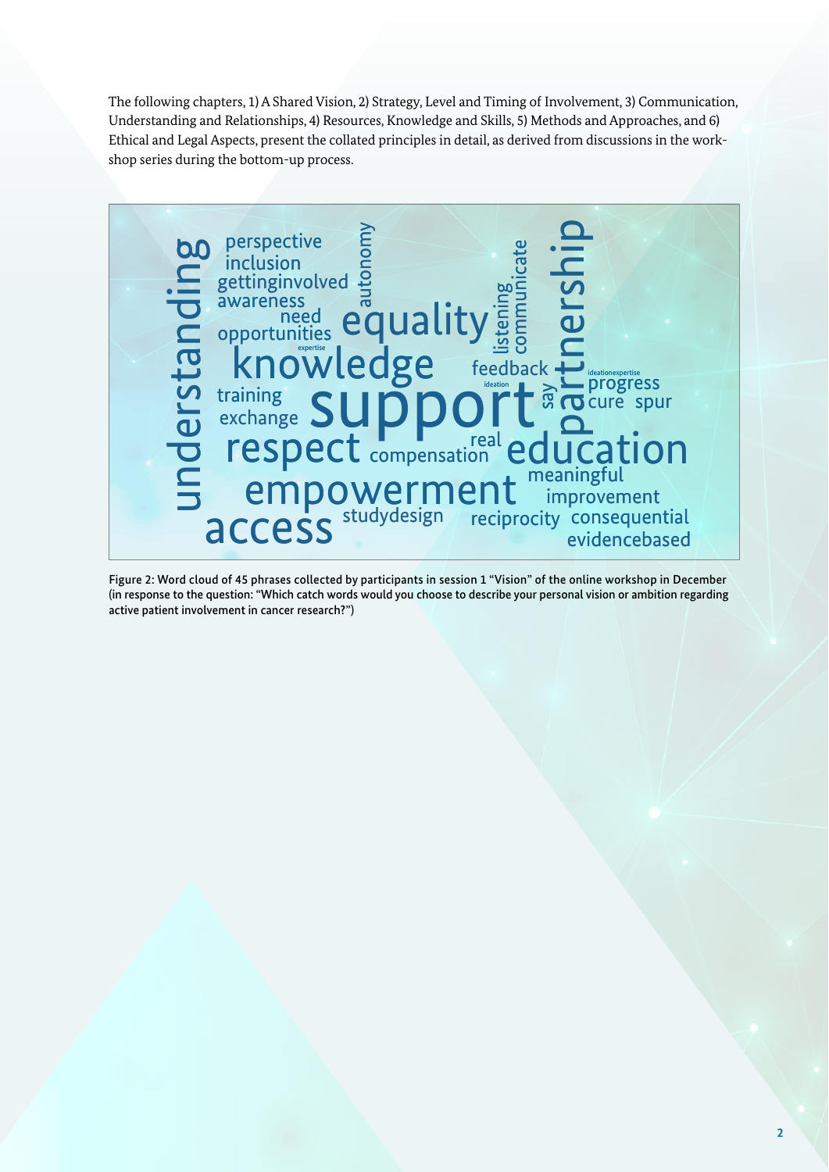The following chapters, 1) A Shared Vision, 2) Strategy, Level and Timing of Involvement, 3) Communication, Understanding and Relationships, 4) Resources, Knowledge and Skills, 5) Methods and Approaches, and 6) Ethical and Legal Aspects, present the collated principles in detail, as derived from discussions in the workshop series during the bottom-up process.



Figure 2: Word cloud of 45 phrases collected by participants in session 1 "Vision" of the online workshop in December (in response to the question: "Which catch words would you choose to describe your personal vision or ambition regarding active patient involvement in cancer research?")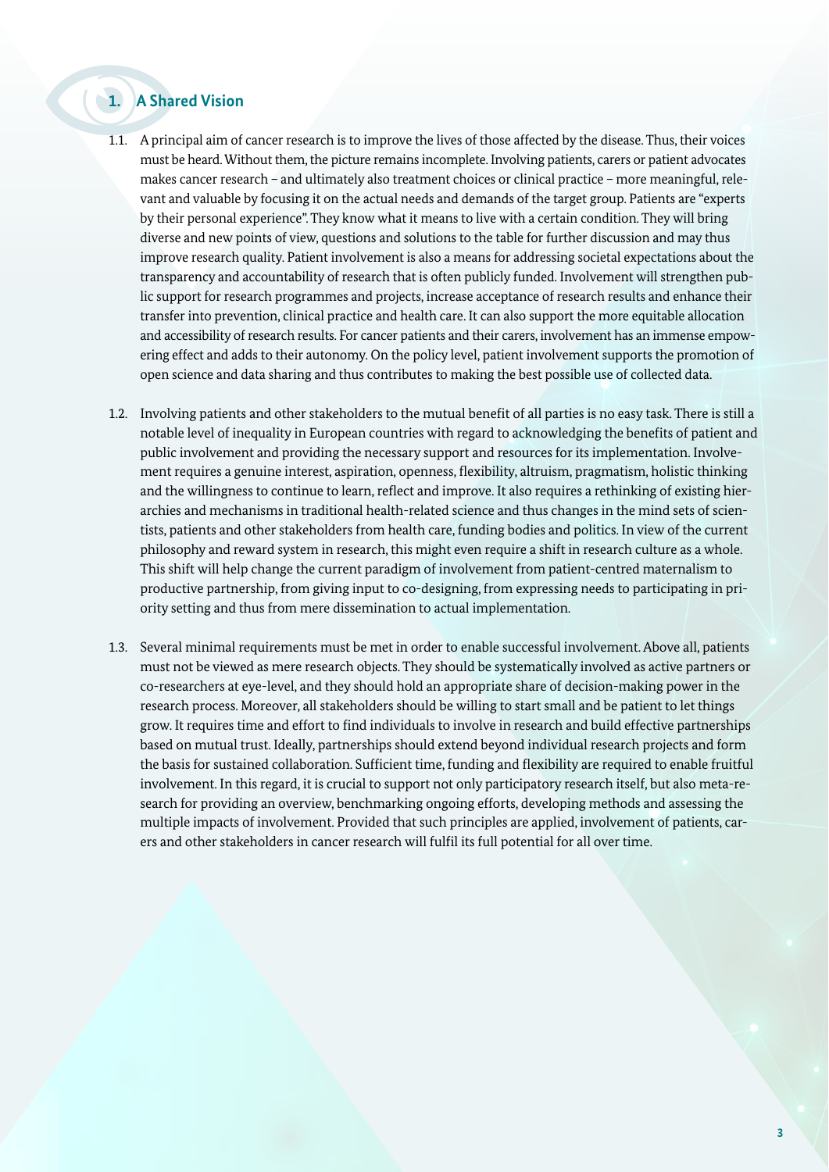### **1. A Shared Vision**

- 1.1. A principal aim of cancer research is to improve the lives of those affected by the disease. Thus, their voices must be heard. Without them, the picture remains incomplete. Involving patients, carers or patient advocates makes cancer research – and ultimately also treatment choices or clinical practice – more meaningful, relevant and valuable by focusing it on the actual needs and demands of the target group. Patients are "experts by their personal experience". They know what it means to live with a certain condition. They will bring diverse and new points of view, questions and solutions to the table for further discussion and may thus improve research quality. Patient involvement is also a means for addressing societal expectations about the transparency and accountability of research that is often publicly funded. Involvement will strengthen public support for research programmes and projects, increase acceptance of research results and enhance their transfer into prevention, clinical practice and health care. It can also support the more equitable allocation and accessibility of research results. For cancer patients and their carers, involvement has an immense empowering effect and adds to their autonomy. On the policy level, patient involvement supports the promotion of open science and data sharing and thus contributes to making the best possible use of collected data.
- 1.2. Involving patients and other stakeholders to the mutual benefit of all parties is no easy task. There is still a notable level of inequality in European countries with regard to acknowledging the benefits of patient and public involvement and providing the necessary support and resources for its implementation. Involvement requires a genuine interest, aspiration, openness, flexibility, altruism, pragmatism, holistic thinking and the willingness to continue to learn, reflect and improve. It also requires a rethinking of existing hierarchies and mechanisms in traditional health-related science and thus changes in the mind sets of scientists, patients and other stakeholders from health care, funding bodies and politics. In view of the current philosophy and reward system in research, this might even require a shift in research culture as a whole. This shift will help change the current paradigm of involvement from patient-centred maternalism to productive partnership, from giving input to co-designing, from expressing needs to participating in priority setting and thus from mere dissemination to actual implementation.
- 1.3. Several minimal requirements must be met in order to enable successful involvement. Above all, patients must not be viewed as mere research objects. They should be systematically involved as active partners or co-researchers at eye-level, and they should hold an appropriate share of decision-making power in the research process. Moreover, all stakeholders should be willing to start small and be patient to let things grow. It requires time and effort to find individuals to involve in research and build effective partnerships based on mutual trust. Ideally, partnerships should extend beyond individual research projects and form the basis for sustained collaboration. Sufficient time, funding and flexibility are required to enable fruitful involvement. In this regard, it is crucial to support not only participatory research itself, but also meta-research for providing an overview, benchmarking ongoing efforts, developing methods and assessing the multiple impacts of involvement. Provided that such principles are applied, involvement of patients, carers and other stakeholders in cancer research will fulfil its full potential for all over time.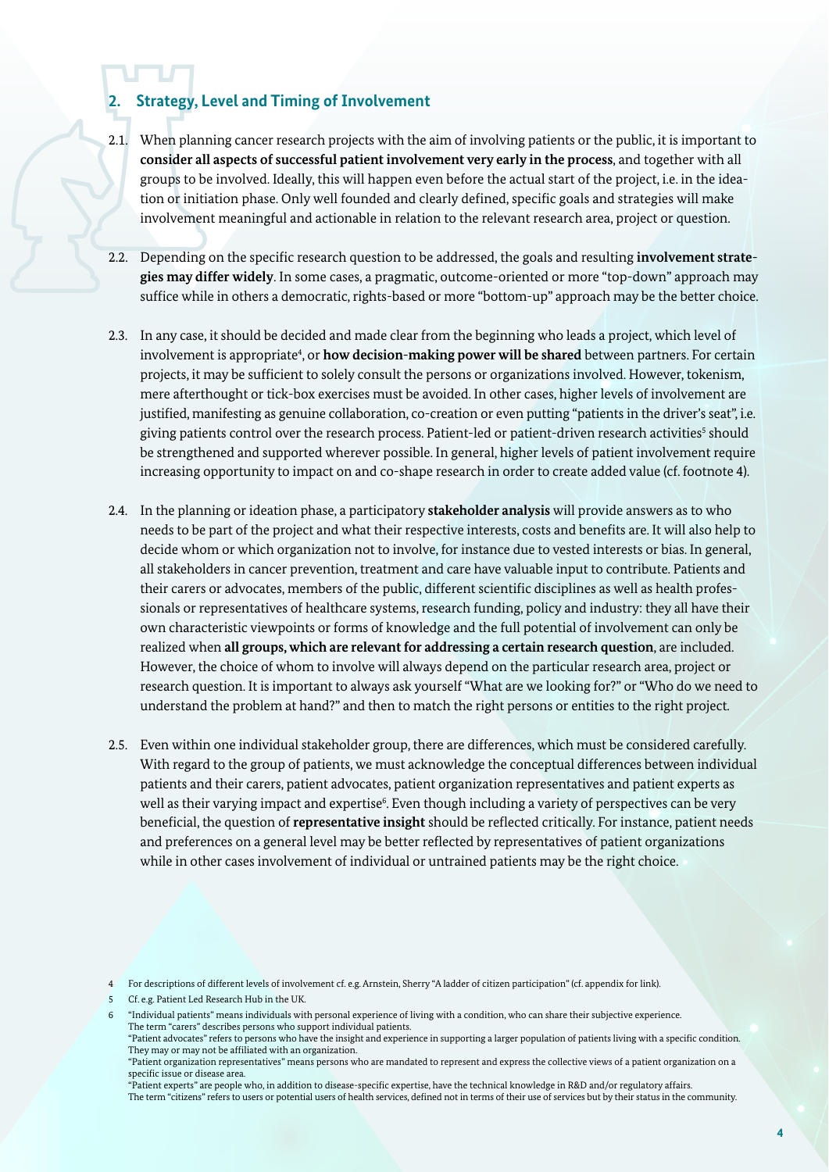## **2. Strategy, Level and Timing of Involvement**

- 2.1. When planning cancer research projects with the aim of involving patients or the public, it is important to **consider all aspects of successful patient involvement very early in the process**, and together with all groups to be involved. Ideally, this will happen even before the actual start of the project, i.e. in the ideation or initiation phase. Only well founded and clearly defined, specific goals and strategies will make involvement meaningful and actionable in relation to the relevant research area, project or question.
- 2.2. Depending on the specific research question to be addressed, the goals and resulting **involvement strategies may differ widely**. In some cases, a pragmatic, outcome-oriented or more "top-down" approach may suffice while in others a democratic, rights-based or more "bottom-up" approach may be the better choice.
- 2.3. In any case, it should be decided and made clear from the beginning who leads a project, which level of involvement is appropriate<sup>4</sup>, or **how decision-making power will be shared** between partners. For certain projects, it may be sufficient to solely consult the persons or organizations involved. However, tokenism, mere afterthought or tick-box exercises must be avoided. In other cases, higher levels of involvement are justified, manifesting as genuine collaboration, co-creation or even putting "patients in the driver's seat", i.e. giving patients control over the research process. Patient-led or patient-driven research activities<sup>s</sup> should be strengthened and supported wherever possible. In general, higher levels of patient involvement require increasing opportunity to impact on and co-shape research in order to create added value (cf. footnote 4).
- 2.4. In the planning or ideation phase, a participatory **stakeholder analysis** will provide answers as to who needs to be part of the project and what their respective interests, costs and benefits are. It will also help to decide whom or which organization not to involve, for instance due to vested interests or bias. In general, all stakeholders in cancer prevention, treatment and care have valuable input to contribute. Patients and their carers or advocates, members of the public, different scientific disciplines as well as health professionals or representatives of healthcare systems, research funding, policy and industry: they all have their own characteristic viewpoints or forms of knowledge and the full potential of involvement can only be realized when **all groups, which are relevant for addressing a certain research question**, are included. However, the choice of whom to involve will always depend on the particular research area, project or research question. It is important to always ask yourself "What are we looking for?" or "Who do we need to understand the problem at hand?" and then to match the right persons or entities to the right project.
- 2.5. Even within one individual stakeholder group, there are differences, which must be considered carefully. With regard to the group of patients, we must acknowledge the conceptual differences between individual patients and their carers, patient advocates, patient organization representatives and patient experts as well as their varying impact and expertise<sup>6</sup>. Even though including a variety of perspectives can be very beneficial, the question of **representative insight** should be reflected critically. For instance, patient needs and preferences on a general level may be better reflected by representatives of patient organizations while in other cases involvement of individual or untrained patients may be the right choice.

<sup>4</sup> For descriptions of different levels of involvement cf. e.g. Arnstein, Sherry "A ladder of citizen participation" (cf. appendix for link).

<sup>5</sup> Cf. e.g. Patient Led Research Hub in the UK.

<sup>6</sup> "Individual patients" means individuals with personal experience of living with a condition, who can share their subjective experience. The term "carers" describes persons who support individual patients.

<sup>&</sup>quot;Patient advocates" refers to persons who have the insight and experience in supporting a larger population of patients living with a specific condition. They may or may not be affiliated with an organization.

<sup>&</sup>quot;Patient organization representatives" means persons who are mandated to represent and express the collective views of a patient organization on a specific issue or disease area.

<sup>&</sup>quot;Patient experts" are people who, in addition to disease-specific expertise, have the technical knowledge in R&D and/or regulatory affairs. The term "citizens" refers to users or potential users of health services, defined not in terms of their use of services but by their status in the community.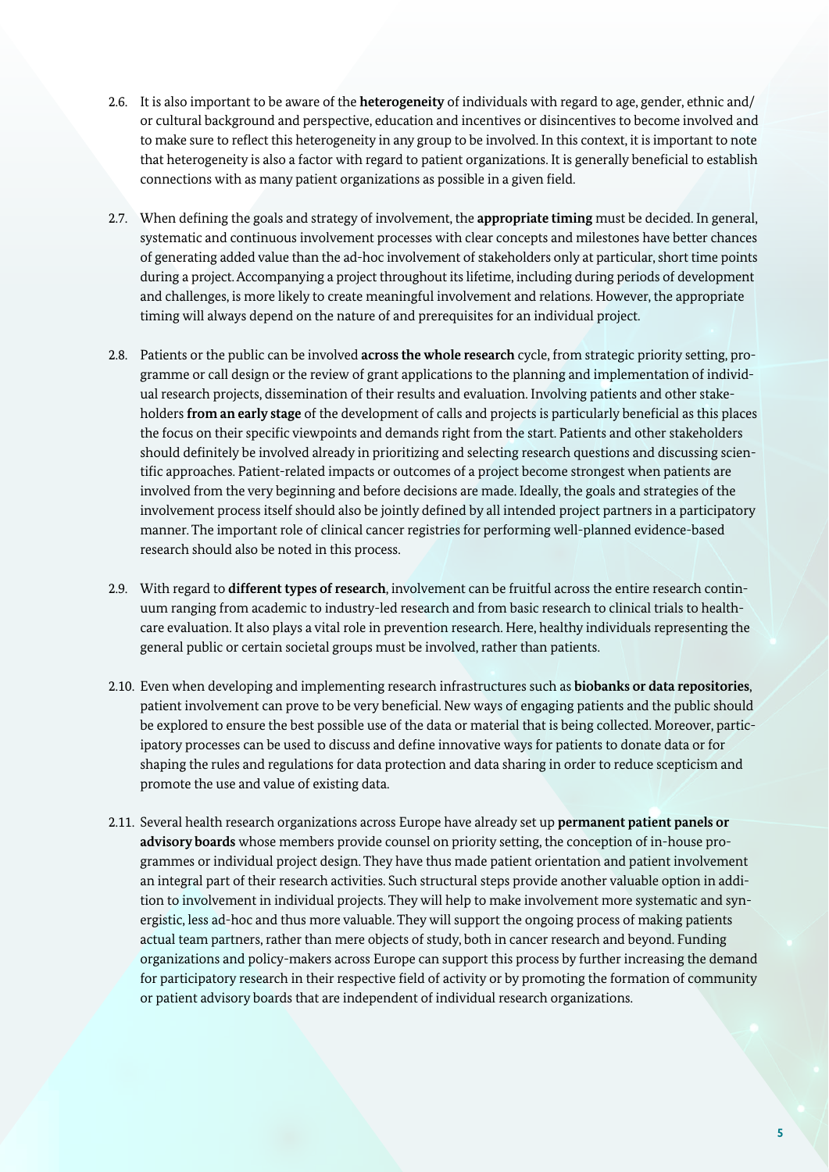- 2.6. It is also important to be aware of the **heterogeneity** of individuals with regard to age, gender, ethnic and/ or cultural background and perspective, education and incentives or disincentives to become involved and to make sure to reflect this heterogeneity in any group to be involved. In this context, it is important to note that heterogeneity is also a factor with regard to patient organizations. It is generally beneficial to establish connections with as many patient organizations as possible in a given field.
- 2.7. When defining the goals and strategy of involvement, the **appropriate timing** must be decided. In general, systematic and continuous involvement processes with clear concepts and milestones have better chances of generating added value than the ad-hoc involvement of stakeholders only at particular, short time points during a project. Accompanying a project throughout its lifetime, including during periods of development and challenges, is more likely to create meaningful involvement and relations. However, the appropriate timing will always depend on the nature of and prerequisites for an individual project.
- 2.8. Patients or the public can be involved **across the whole research** cycle, from strategic priority setting, programme or call design or the review of grant applications to the planning and implementation of individual research projects, dissemination of their results and evaluation. Involving patients and other stakeholders **from an early stage** of the development of calls and projects is particularly beneficial as this places the focus on their specific viewpoints and demands right from the start. Patients and other stakeholders should definitely be involved already in prioritizing and selecting research questions and discussing scientific approaches. Patient-related impacts or outcomes of a project become strongest when patients are involved from the very beginning and before decisions are made. Ideally, the goals and strategies of the involvement process itself should also be jointly defined by all intended project partners in a participatory manner. The important role of clinical cancer registries for performing well-planned evidence-based research should also be noted in this process.
- 2.9. With regard to **different types of research**, involvement can be fruitful across the entire research continuum ranging from academic to industry-led research and from basic research to clinical trials to healthcare evaluation. It also plays a vital role in prevention research. Here, healthy individuals representing the general public or certain societal groups must be involved, rather than patients.
- 2.10. Even when developing and implementing research infrastructures such as **biobanks or data repositories**, patient involvement can prove to be very beneficial. New ways of engaging patients and the public should be explored to ensure the best possible use of the data or material that is being collected. Moreover, participatory processes can be used to discuss and define innovative ways for patients to donate data or for shaping the rules and regulations for data protection and data sharing in order to reduce scepticism and promote the use and value of existing data.
- 2.11. Several health research organizations across Europe have already set up **permanent patient panels or advisory boards** whose members provide counsel on priority setting, the conception of in-house programmes or individual project design. They have thus made patient orientation and patient involvement an integral part of their research activities. Such structural steps provide another valuable option in addition to involvement in individual projects. They will help to make involvement more systematic and synergistic, less ad-hoc and thus more valuable. They will support the ongoing process of making patients actual team partners, rather than mere objects of study, both in cancer research and beyond. Funding organizations and policy-makers across Europe can support this process by further increasing the demand for participatory research in their respective field of activity or by promoting the formation of community or patient advisory boards that are independent of individual research organizations.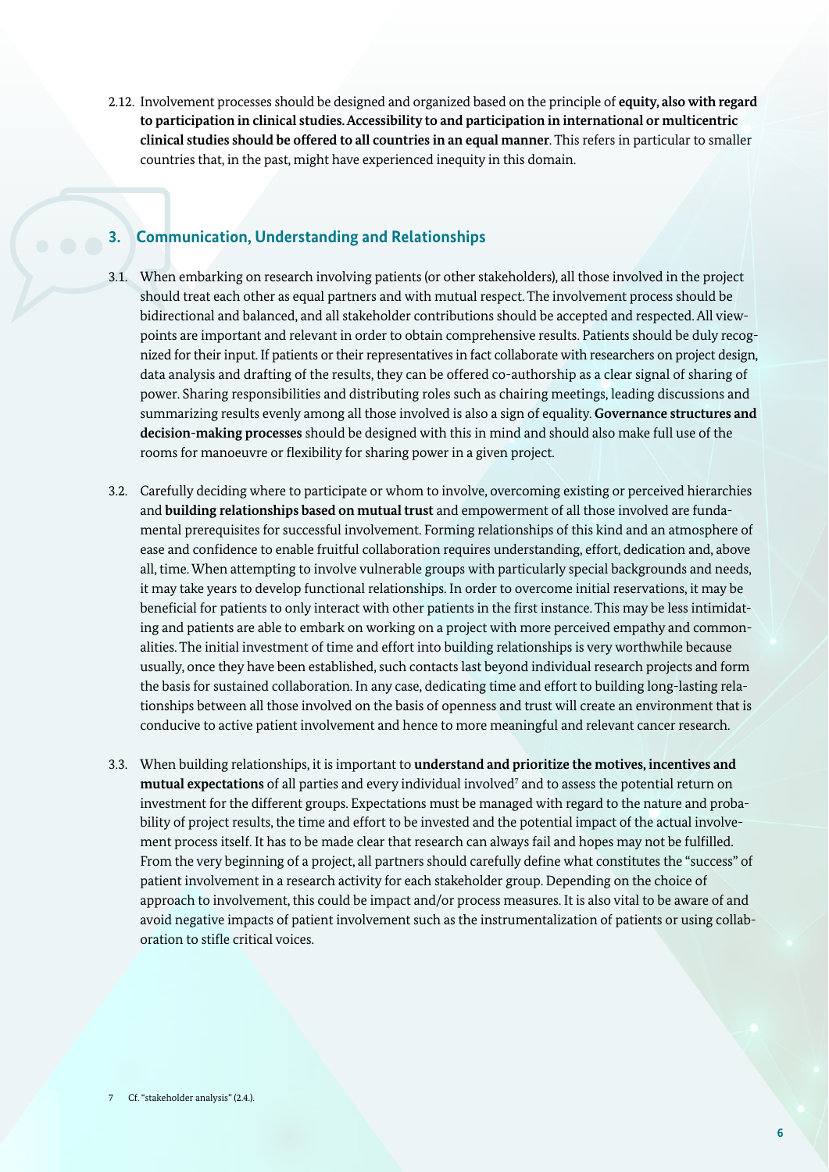2.12. Involvement processes should be designed and organized based on the principle of **equity, also with regard to participation in clinical studies. Accessibility to and participation in international or multicentric clinical studies should be offered to all countries in an equal manner**. This refers in particular to smaller countries that, in the past, might have experienced inequity in this domain.

#### **3. Communication, Understanding and Relationships**

- 3.1. When embarking on research involving patients (or other stakeholders), all those involved in the project should treat each other as equal partners and with mutual respect. The involvement process should be bidirectional and balanced, and all stakeholder contributions should be accepted and respected. All viewpoints are important and relevant in order to obtain comprehensive results. Patients should be duly recognized for their input. If patients or their representatives in fact collaborate with researchers on project design, data analysis and drafting of the results, they can be offered co-authorship as a clear signal of sharing of power. Sharing responsibilities and distributing roles such as chairing meetings, leading discussions and summarizing results evenly among all those involved is also a sign of equality. **Governance structures and decision-making processes** should be designed with this in mind and should also make full use of the rooms for manoeuvre or flexibility for sharing power in a given project.
- 3.2. Carefully deciding where to participate or whom to involve, overcoming existing or perceived hierarchies and **building relationships based on mutual trust** and empowerment of all those involved are fundamental prerequisites for successful involvement. Forming relationships of this kind and an atmosphere of ease and confidence to enable fruitful collaboration requires understanding, effort, dedication and, above all, time. When attempting to involve vulnerable groups with particularly special backgrounds and needs, it may take years to develop functional relationships. In order to overcome initial reservations, it may be beneficial for patients to only interact with other patients in the first instance. This may be less intimidating and patients are able to embark on working on a project with more perceived empathy and commonalities. The initial investment of time and effort into building relationships is very worthwhile because usually, once they have been established, such contacts last beyond individual research projects and form the basis for sustained collaboration. In any case, dedicating time and effort to building long-lasting relationships between all those involved on the basis of openness and trust will create an environment that is conducive to active patient involvement and hence to more meaningful and relevant cancer research.
- 3.3. When building relationships, it is important to **understand and prioritize the motives, incentives and**  mutual expectations of all parties and every individual involved<sup>7</sup> and to assess the potential return on investment for the different groups. Expectations must be managed with regard to the nature and probability of project results, the time and effort to be invested and the potential impact of the actual involvement process itself. It has to be made clear that research can always fail and hopes may not be fulfilled. From the very beginning of a project, all partners should carefully define what constitutes the "success" of patient involvement in a research activity for each stakeholder group. Depending on the choice of approach to involvement, this could be impact and/or process measures. It is also vital to be aware of and avoid negative impacts of patient involvement such as the instrumentalization of patients or using collaboration to stifle critical voices.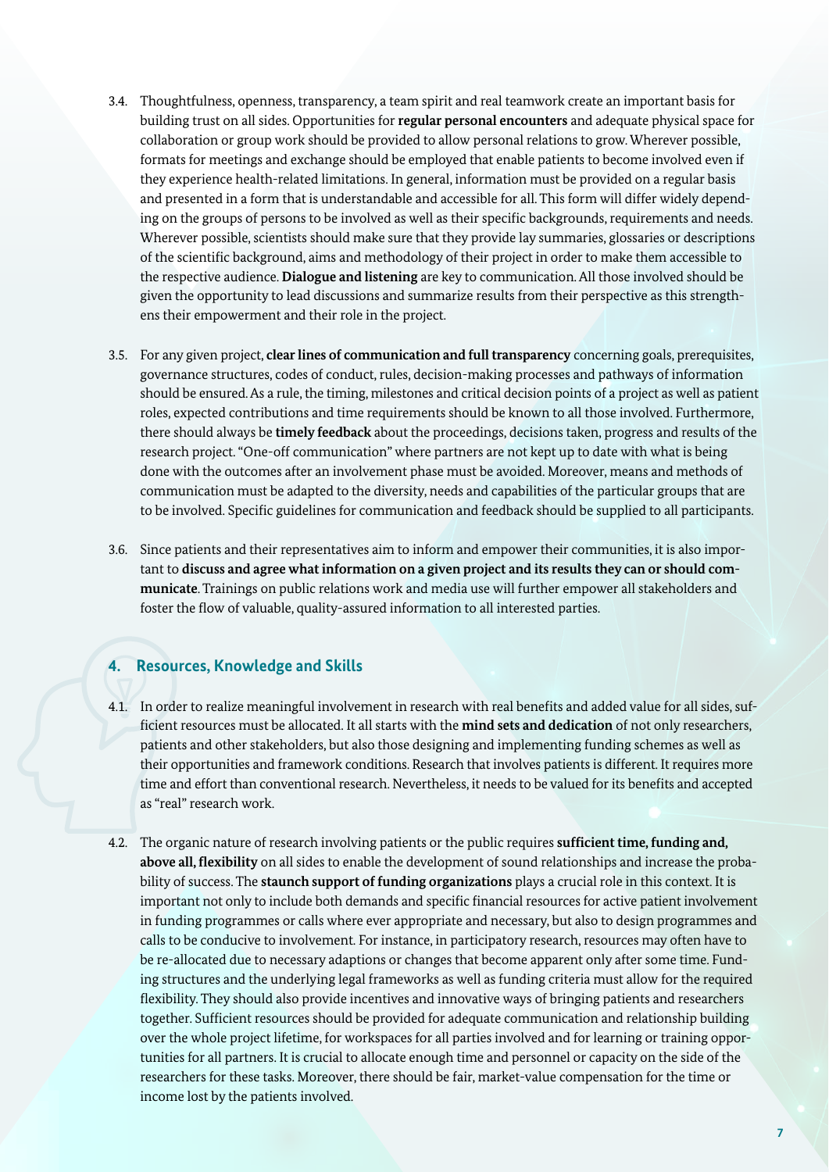- 3.4. Thoughtfulness, openness, transparency, a team spirit and real teamwork create an important basis for building trust on all sides. Opportunities for **regular personal encounters** and adequate physical space for collaboration or group work should be provided to allow personal relations to grow. Wherever possible, formats for meetings and exchange should be employed that enable patients to become involved even if they experience health-related limitations. In general, information must be provided on a regular basis and presented in a form that is understandable and accessible for all. This form will differ widely depending on the groups of persons to be involved as well as their specific backgrounds, requirements and needs. Wherever possible, scientists should make sure that they provide lay summaries, glossaries or descriptions of the scientific background, aims and methodology of their project in order to make them accessible to the respective audience. **Dialogue and listening** are key to communication. All those involved should be given the opportunity to lead discussions and summarize results from their perspective as this strengthens their empowerment and their role in the project.
- 3.5. For any given project, **clear lines of communication and full transparency** concerning goals, prerequisites, governance structures, codes of conduct, rules, decision-making processes and pathways of information should be ensured. As a rule, the timing, milestones and critical decision points of a project as well as patient roles, expected contributions and time requirements should be known to all those involved. Furthermore, there should always be **timely feedback** about the proceedings, decisions taken, progress and results of the research project. "One-off communication" where partners are not kept up to date with what is being done with the outcomes after an involvement phase must be avoided. Moreover, means and methods of communication must be adapted to the diversity, needs and capabilities of the particular groups that are to be involved. Specific guidelines for communication and feedback should be supplied to all participants.
- 3.6. Since patients and their representatives aim to inform and empower their communities, it is also important to **discuss and agree what information on a given project and its results they can or should communicate**. Trainings on public relations work and media use will further empower all stakeholders and foster the flow of valuable, quality-assured information to all interested parties.

#### **4. Resources, Knowledge and Skills**

- 4.1. In order to realize meaningful involvement in research with real benefits and added value for all sides, sufficient resources must be allocated. It all starts with the **mind sets and dedication** of not only researchers, patients and other stakeholders, but also those designing and implementing funding schemes as well as their opportunities and framework conditions. Research that involves patients is different. It requires more time and effort than conventional research. Nevertheless, it needs to be valued for its benefits and accepted as "real" research work.
- 4.2. The organic nature of research involving patients or the public requires **sufficient time, funding and, above all, flexibility** on all sides to enable the development of sound relationships and increase the probability of success. The **staunch support of funding organizations** plays a crucial role in this context. It is important not only to include both demands and specific financial resources for active patient involvement in funding programmes or calls where ever appropriate and necessary, but also to design programmes and calls to be conducive to involvement. For instance, in participatory research, resources may often have to be re-allocated due to necessary adaptions or changes that become apparent only after some time. Funding structures and the underlying legal frameworks as well as funding criteria must allow for the required flexibility. They should also provide incentives and innovative ways of bringing patients and researchers together. Sufficient resources should be provided for adequate communication and relationship building over the whole project lifetime, for workspaces for all parties involved and for learning or training opportunities for all partners. It is crucial to allocate enough time and personnel or capacity on the side of the researchers for these tasks. Moreover, there should be fair, market-value compensation for the time or income lost by the patients involved.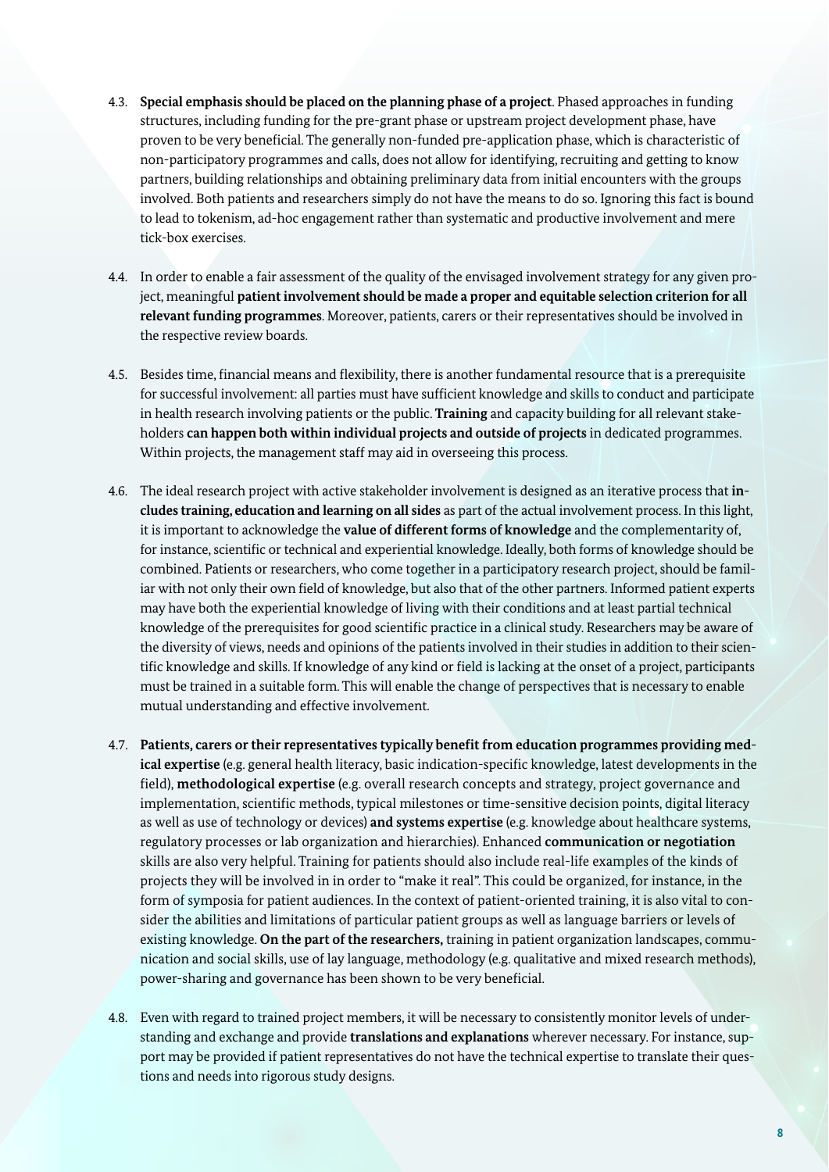- 4.3. **Special emphasis should be placed on the planning phase of a project**. Phased approaches in funding structures, including funding for the pre-grant phase or upstream project development phase, have proven to be very beneficial. The generally non-funded pre-application phase, which is characteristic of non-participatory programmes and calls, does not allow for identifying, recruiting and getting to know partners, building relationships and obtaining preliminary data from initial encounters with the groups involved. Both patients and researchers simply do not have the means to do so. Ignoring this fact is bound to lead to tokenism, ad-hoc engagement rather than systematic and productive involvement and mere tick-box exercises.
- 4.4. In order to enable a fair assessment of the quality of the envisaged involvement strategy for any given project, meaningful **patient involvement should be made a proper and equitable selection criterion for all relevant funding programmes**. Moreover, patients, carers or their representatives should be involved in the respective review boards.
- 4.5. Besides time, financial means and flexibility, there is another fundamental resource that is a prerequisite for successful involvement: all parties must have sufficient knowledge and skills to conduct and participate in health research involving patients or the public. **Training** and capacity building for all relevant stakeholders **can happen both within individual projects and outside of projects** in dedicated programmes. Within projects, the management staff may aid in overseeing this process.
- 4.6. The ideal research project with active stakeholder involvement is designed as an iterative process that **includes training, education and learning on all sides** as part of the actual involvement process. In this light, it is important to acknowledge the **value of different forms of knowledge** and the complementarity of, for instance, scientific or technical and experiential knowledge. Ideally, both forms of knowledge should be combined. Patients or researchers, who come together in a participatory research project, should be familiar with not only their own field of knowledge, but also that of the other partners. Informed patient experts may have both the experiential knowledge of living with their conditions and at least partial technical knowledge of the prerequisites for good scientific practice in a clinical study. Researchers may be aware of the diversity of views, needs and opinions of the patients involved in their studies in addition to their scientific knowledge and skills. If knowledge of any kind or field is lacking at the onset of a project, participants must be trained in a suitable form. This will enable the change of perspectives that is necessary to enable mutual understanding and effective involvement.
- 4.7. **Patients, carers or their representatives typically benefit from education programmes providing medical expertise** (e.g. general health literacy, basic indication-specific knowledge, latest developments in the field), **methodological expertise** (e.g. overall research concepts and strategy, project governance and implementation, scientific methods, typical milestones or time-sensitive decision points, digital literacy as well as use of technology or devices) **and systems expertise** (e.g. knowledge about healthcare systems, regulatory processes or lab organization and hierarchies). Enhanced **communication or negotiation** skills are also very helpful. Training for patients should also include real-life examples of the kinds of projects they will be involved in in order to "make it real". This could be organized, for instance, in the form of symposia for patient audiences. In the context of patient-oriented training, it is also vital to consider the abilities and limitations of particular patient groups as well as language barriers or levels of existing knowledge. **On the part of the researchers,** training in patient organization landscapes, communication and social skills, use of lay language, methodology (e.g. qualitative and mixed research methods), power-sharing and governance has been shown to be very beneficial.
- 4.8. Even with regard to trained project members, it will be necessary to consistently monitor levels of understanding and exchange and provide **translations and explanations** wherever necessary. For instance, support may be provided if patient representatives do not have the technical expertise to translate their questions and needs into rigorous study designs.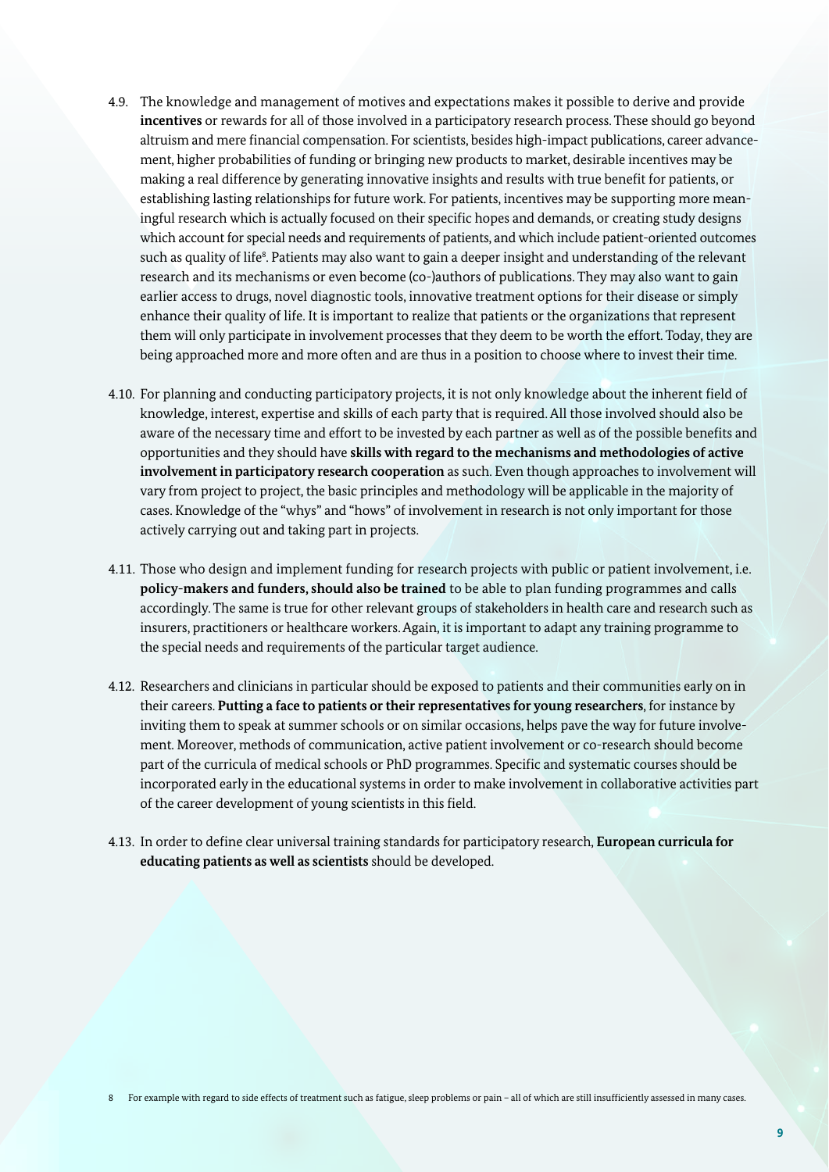- 4.9. The knowledge and management of motives and expectations makes it possible to derive and provide **incentives** or rewards for all of those involved in a participatory research process. These should go beyond altruism and mere financial compensation. For scientists, besides high-impact publications, career advancement, higher probabilities of funding or bringing new products to market, desirable incentives may be making a real difference by generating innovative insights and results with true benefit for patients, or establishing lasting relationships for future work. For patients, incentives may be supporting more meaningful research which is actually focused on their specific hopes and demands, or creating study designs which account for special needs and requirements of patients, and which include patient-oriented outcomes such as quality of life<sup>s</sup>. Patients may also want to gain a deeper insight and understanding of the relevant research and its mechanisms or even become (co-)authors of publications. They may also want to gain earlier access to drugs, novel diagnostic tools, innovative treatment options for their disease or simply enhance their quality of life. It is important to realize that patients or the organizations that represent them will only participate in involvement processes that they deem to be worth the effort. Today, they are being approached more and more often and are thus in a position to choose where to invest their time.
- 4.10. For planning and conducting participatory projects, it is not only knowledge about the inherent field of knowledge, interest, expertise and skills of each party that is required. All those involved should also be aware of the necessary time and effort to be invested by each partner as well as of the possible benefits and opportunities and they should have **skills with regard to the mechanisms and methodologies of active involvement in participatory research cooperation** as such. Even though approaches to involvement will vary from project to project, the basic principles and methodology will be applicable in the majority of cases. Knowledge of the "whys" and "hows" of involvement in research is not only important for those actively carrying out and taking part in projects.
- 4.11. Those who design and implement funding for research projects with public or patient involvement, i.e. **policy-makers and funders, should also be trained** to be able to plan funding programmes and calls accordingly. The same is true for other relevant groups of stakeholders in health care and research such as insurers, practitioners or healthcare workers. Again, it is important to adapt any training programme to the special needs and requirements of the particular target audience.
- 4.12. Researchers and clinicians in particular should be exposed to patients and their communities early on in their careers. **Putting a face to patients or their representatives for young researchers**, for instance by inviting them to speak at summer schools or on similar occasions, helps pave the way for future involvement. Moreover, methods of communication, active patient involvement or co-research should become part of the curricula of medical schools or PhD programmes. Specific and systematic courses should be incorporated early in the educational systems in order to make involvement in collaborative activities part of the career development of young scientists in this field.
- 4.13. In order to define clear universal training standards for participatory research, **European curricula for educating patients as well as scientists** should be developed.

8 For example with regard to side effects of treatment such as fatigue, sleep problems or pain – all of which are still insufficiently assessed in many cases.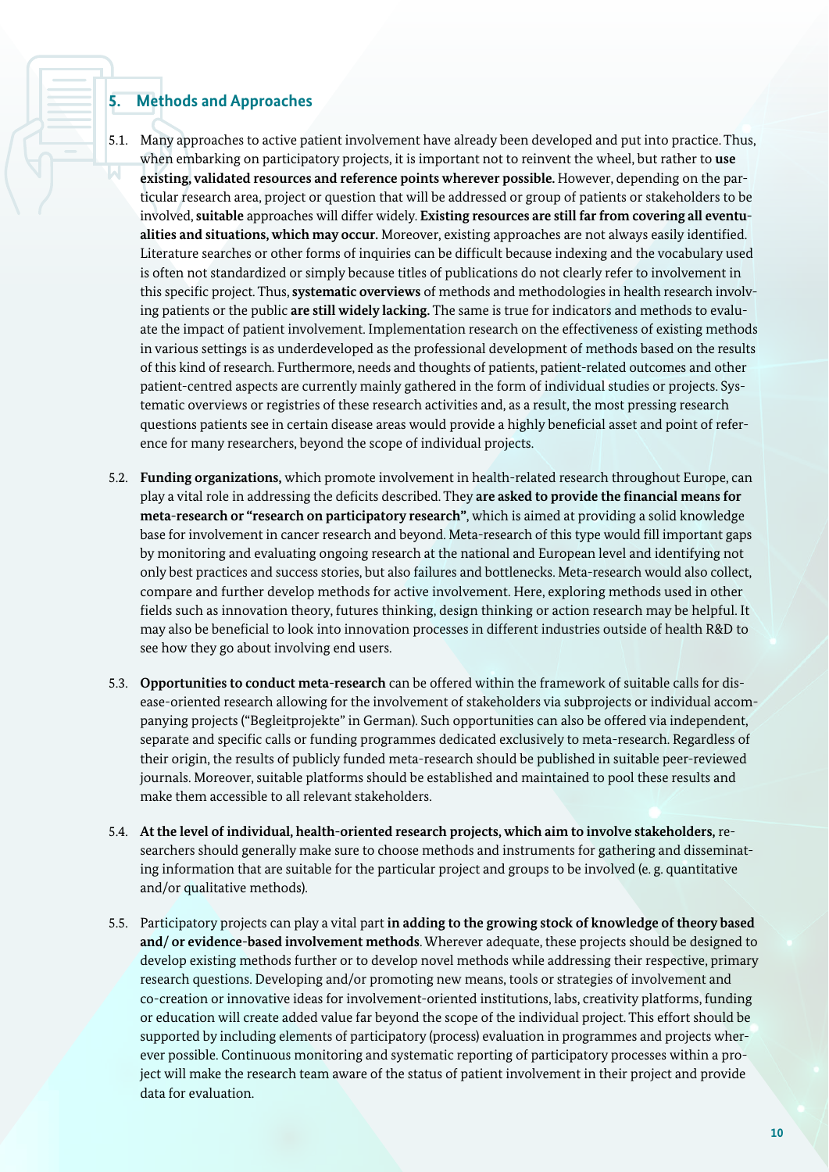#### **5. Methods and Approaches**

- 5.1. Many approaches to active patient involvement have already been developed and put into practice. Thus, when embarking on participatory projects, it is important not to reinvent the wheel, but rather to **use existing, validated resources and reference points wherever possible.** However, depending on the particular research area, project or question that will be addressed or group of patients or stakeholders to be involved, **suitable** approaches will differ widely. **Existing resources are still far from covering all eventualities and situations, which may occur.** Moreover, existing approaches are not always easily identified. Literature searches or other forms of inquiries can be difficult because indexing and the vocabulary used is often not standardized or simply because titles of publications do not clearly refer to involvement in this specific project. Thus, **systematic overviews** of methods and methodologies in health research involving patients or the public **are still widely lacking.** The same is true for indicators and methods to evaluate the impact of patient involvement. Implementation research on the effectiveness of existing methods in various settings is as underdeveloped as the professional development of methods based on the results of this kind of research. Furthermore, needs and thoughts of patients, patient-related outcomes and other patient-centred aspects are currently mainly gathered in the form of individual studies or projects. Systematic overviews or registries of these research activities and, as a result, the most pressing research questions patients see in certain disease areas would provide a highly beneficial asset and point of reference for many researchers, beyond the scope of individual projects.
- 5.2. **Funding organizations,** which promote involvement in health-related research throughout Europe, can play a vital role in addressing the deficits described. They **are asked to provide the financial means for meta-research or "research on participatory research"**, which is aimed at providing a solid knowledge base for involvement in cancer research and beyond. Meta-research of this type would fill important gaps by monitoring and evaluating ongoing research at the national and European level and identifying not only best practices and success stories, but also failures and bottlenecks. Meta-research would also collect, compare and further develop methods for active involvement. Here, exploring methods used in other fields such as innovation theory, futures thinking, design thinking or action research may be helpful. It may also be beneficial to look into innovation processes in different industries outside of health R&D to see how they go about involving end users.
- 5.3. **Opportunities to conduct meta-research** can be offered within the framework of suitable calls for disease-oriented research allowing for the involvement of stakeholders via subprojects or individual accompanying projects ("Begleitprojekte" in German). Such opportunities can also be offered via independent, separate and specific calls or funding programmes dedicated exclusively to meta-research. Regardless of their origin, the results of publicly funded meta-research should be published in suitable peer-reviewed journals. Moreover, suitable platforms should be established and maintained to pool these results and make them accessible to all relevant stakeholders.
- 5.4. **At the level of individual, health-oriented research projects, which aim to involve stakeholders,** researchers should generally make sure to choose methods and instruments for gathering and disseminating information that are suitable for the particular project and groups to be involved (e. g. quantitative and/or qualitative methods).
- 5.5. Participatory projects can play a vital part **in adding to the growing stock of knowledge of theory based and/ or evidence-based involvement methods**. Wherever adequate, these projects should be designed to develop existing methods further or to develop novel methods while addressing their respective, primary research questions. Developing and/or promoting new means, tools or strategies of involvement and co-creation or innovative ideas for involvement-oriented institutions, labs, creativity platforms, funding or education will create added value far beyond the scope of the individual project. This effort should be supported by including elements of participatory (process) evaluation in programmes and projects wherever possible. Continuous monitoring and systematic reporting of participatory processes within a project will make the research team aware of the status of patient involvement in their project and provide data for evaluation.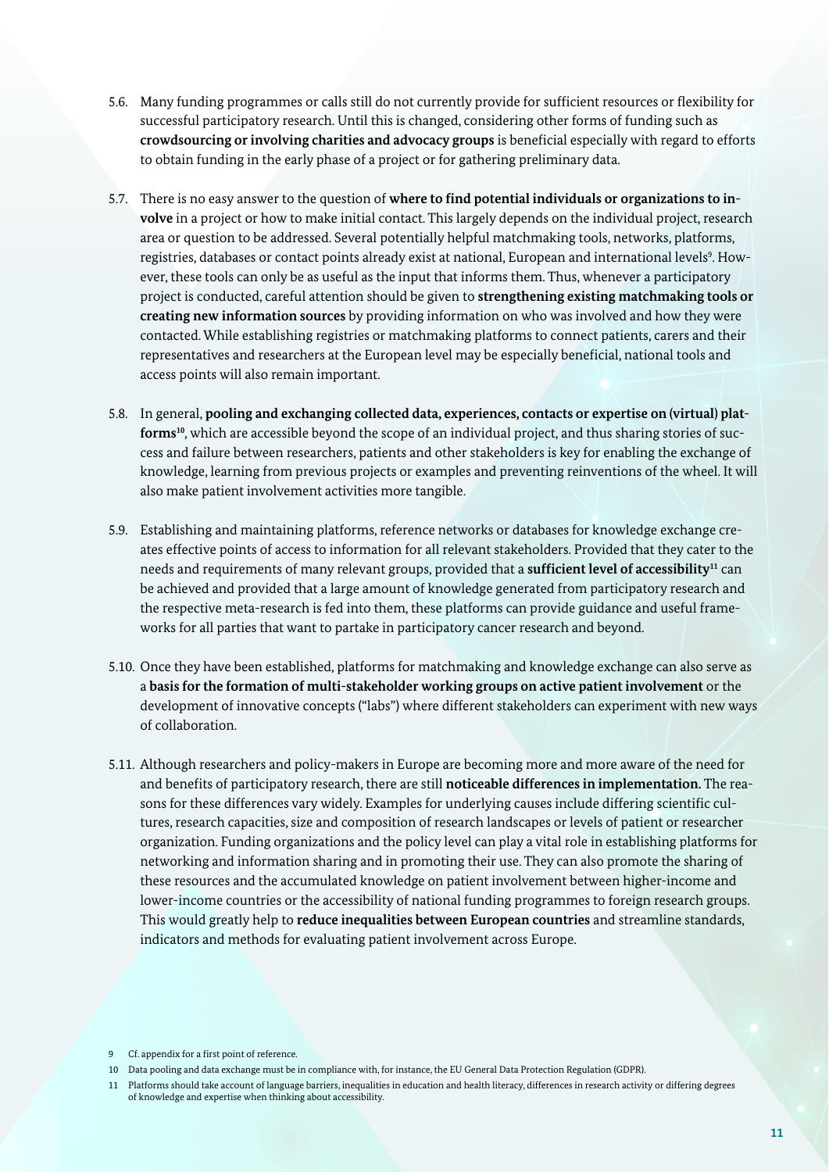- 5.6. Many funding programmes or calls still do not currently provide for sufficient resources or flexibility for successful participatory research. Until this is changed, considering other forms of funding such as **crowdsourcing or involving charities and advocacy groups** is beneficial especially with regard to efforts to obtain funding in the early phase of a project or for gathering preliminary data.
- 5.7. There is no easy answer to the question of **where to find potential individuals or organizations to in volve** in a project or how to make initial contact. This largely depends on the individual project, research area or question to be addressed. Several potentially helpful matchmaking tools, networks, platforms, registries, databases or contact points already exist at national, European and international levels<sup>9</sup>. However, these tools can only be as useful as the input that informs them. Thus, whenever a participatory project is conducted, careful attention should be given to **strengthening existing matchmaking tools or creating new information sources** by providing information on who was involved and how they were contacted. While establishing registries or matchmaking platforms to connect patients, carers and their representatives and researchers at the European level may be especially beneficial, national tools and access points will also remain important.
- 5.8. In general, **pooling and exchanging collected data, experiences, contacts or expertise on (virtual) plat**forms<sup>10</sup>, which are accessible beyond the scope of an individual project, and thus sharing stories of success and failure between researchers, patients and other stakeholders is key for enabling the exchange of knowledge, learning from previous projects or examples and preventing reinventions of the wheel. It will also make patient involvement activities more tangible.
- 5.9. Establishing and maintaining platforms, reference networks or databases for knowledge exchange creates effective points of access to information for all relevant stakeholders. Provided that they cater to the needs and requirements of many relevant groups, provided that a **sufficient level of accessibility11** can be achieved and provided that a large amount of knowledge generated from participatory research and the respective meta-research is fed into them, these platforms can provide guidance and useful frameworks for all parties that want to partake in participatory cancer research and beyond.
- 5.10. Once they have been established, platforms for matchmaking and knowledge exchange can also serve as a **basis for the formation of multi-stakeholder working groups on active patient involvement** or the development of innovative concepts ("labs") where different stakeholders can experiment with new ways of collaboration.
- 5.11. Although researchers and policy-makers in Europe are becoming more and more aware of the need for and benefits of participatory research, there are still **noticeable differences in implementation.** The reasons for these differences vary widely. Examples for underlying causes include differing scientific cultures, research capacities, size and composition of research landscapes or levels of patient or researcher organization. Funding organizations and the policy level can play a vital role in establishing platforms for networking and information sharing and in promoting their use. They can also promote the sharing of these resources and the accumulated knowledge on patient involvement between higher-income and lower-income countries or the accessibility of national funding programmes to foreign research groups. This would greatly help to **reduce inequalities between European countries** and streamline standards, indicators and methods for evaluating patient involvement across Europe.

<sup>9</sup> Cf. appendix for a first point of reference.

<sup>10</sup> Data pooling and data exchange must be in compliance with, for instance, the EU General Data Protection Regulation (GDPR).

<sup>11</sup> Platforms should take account of language barriers, inequalities in education and health literacy, differences in research activity or differing degrees of knowledge and expertise when thinking about accessibility.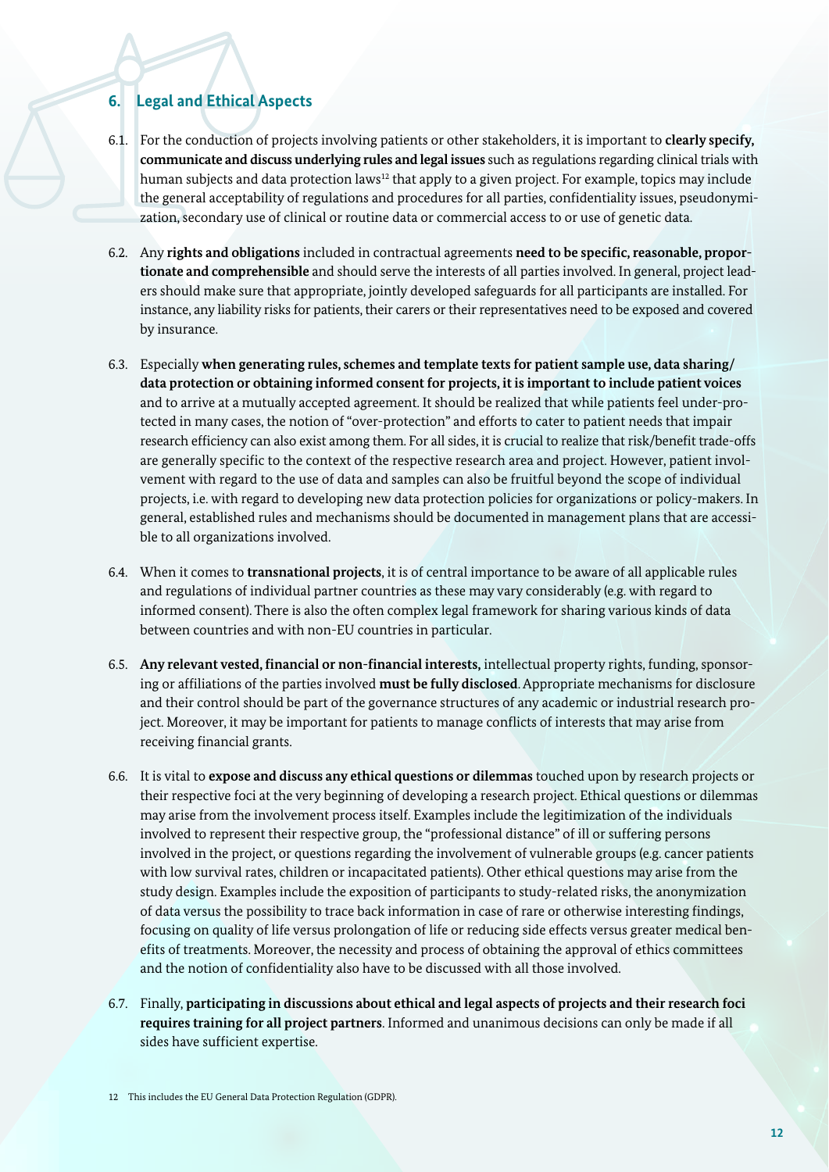#### **6. Legal and Ethical Aspects**

- 6.1. For the conduction of projects involving patients or other stakeholders, it is important to **clearly specify, communicate and discuss underlying rules and legal issues** such as regulations regarding clinical trials with human subjects and data protection laws<sup>12</sup> that apply to a given project. For example, topics may include the general acceptability of regulations and procedures for all parties, confidentiality issues, pseudonymization, secondary use of clinical or routine data or commercial access to or use of genetic data.
- 6.2. Any **rights and obligations** included in contractual agreements **need to be specific, reasonable, proportionate and comprehensible** and should serve the interests of all parties involved. In general, project leaders should make sure that appropriate, jointly developed safeguards for all participants are installed. For instance, any liability risks for patients, their carers or their representatives need to be exposed and covered by insurance.
- 6.3. Especially **when generating rules, schemes and template texts for patient sample use, data sharing/ data protection or obtaining informed consent for projects, it is important to include patient voices** and to arrive at a mutually accepted agreement. It should be realized that while patients feel under-protected in many cases, the notion of "over-protection" and efforts to cater to patient needs that impair research efficiency can also exist among them. For all sides, it is crucial to realize that risk/benefit trade-offs are generally specific to the context of the respective research area and project. However, patient involvement with regard to the use of data and samples can also be fruitful beyond the scope of individual projects, i.e. with regard to developing new data protection policies for organizations or policy-makers. In general, established rules and mechanisms should be documented in management plans that are accessible to all organizations involved.
- 6.4. When it comes to **transnational projects**, it is of central importance to be aware of all applicable rules and regulations of individual partner countries as these may vary considerably (e.g. with regard to informed consent). There is also the often complex legal framework for sharing various kinds of data between countries and with non-EU countries in particular.
- 6.5. **Any relevant vested, financial or non-financial interests,** intellectual property rights, funding, sponsoring or affiliations of the parties involved **must be fully disclosed**. Appropriate mechanisms for disclosure and their control should be part of the governance structures of any academic or industrial research project. Moreover, it may be important for patients to manage conflicts of interests that may arise from receiving financial grants.
- 6.6. It is vital to **expose and discuss any ethical questions or dilemmas** touched upon by research projects or their respective foci at the very beginning of developing a research project. Ethical questions or dilemmas may arise from the involvement process itself. Examples include the legitimization of the individuals involved to represent their respective group, the "professional distance" of ill or suffering persons involved in the project, or questions regarding the involvement of vulnerable groups (e.g. cancer patients with low survival rates, children or incapacitated patients). Other ethical questions may arise from the study design. Examples include the exposition of participants to study-related risks, the anonymization of data versus the possibility to trace back information in case of rare or otherwise interesting findings, focusing on quality of life versus prolongation of life or reducing side effects versus greater medical benefits of treatments. Moreover, the necessity and process of obtaining the approval of ethics committees and the notion of confidentiality also have to be discussed with all those involved.
- 6.7. Finally, **participating in discussions about ethical and legal aspects of projects and their research foci requires training for all project partners**. Informed and unanimous decisions can only be made if all sides have sufficient expertise.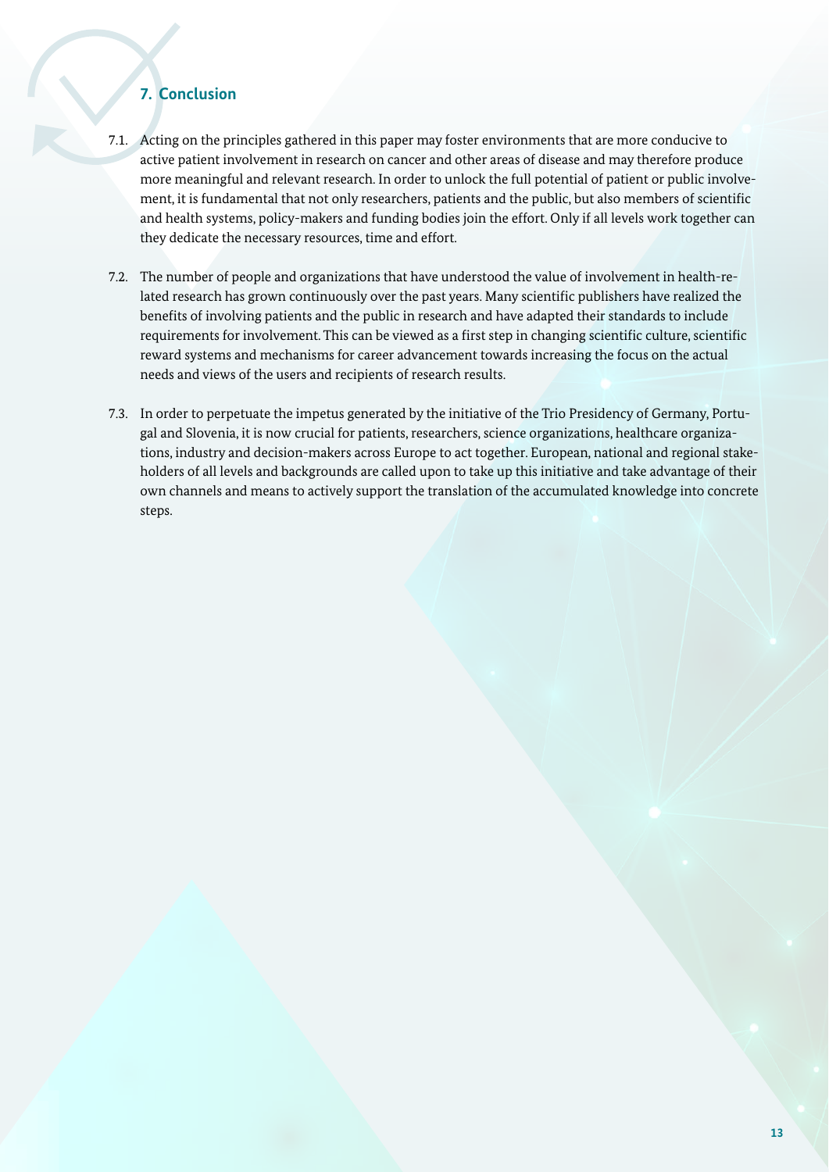#### **7. Conclusion**

- 7.1. Acting on the principles gathered in this paper may foster environments that are more conducive to active patient involvement in research on cancer and other areas of disease and may therefore produce more meaningful and relevant research. In order to unlock the full potential of patient or public involvement, it is fundamental that not only researchers, patients and the public, but also members of scientific and health systems, policy-makers and funding bodies join the effort. Only if all levels work together can they dedicate the necessary resources, time and effort.
- 7.2. The number of people and organizations that have understood the value of involvement in health-related research has grown continuously over the past years. Many scientific publishers have realized the benefits of involving patients and the public in research and have adapted their standards to include requirements for involvement. This can be viewed as a first step in changing scientific culture, scientific reward systems and mechanisms for career advancement towards increasing the focus on the actual needs and views of the users and recipients of research results.
- 7.3. In order to perpetuate the impetus generated by the initiative of the Trio Presidency of Germany, Portugal and Slovenia, it is now crucial for patients, researchers, science organizations, healthcare organizations, industry and decision-makers across Europe to act together. European, national and regional stakeholders of all levels and backgrounds are called upon to take up this initiative and take advantage of their own channels and means to actively support the translation of the accumulated knowledge into concrete steps.